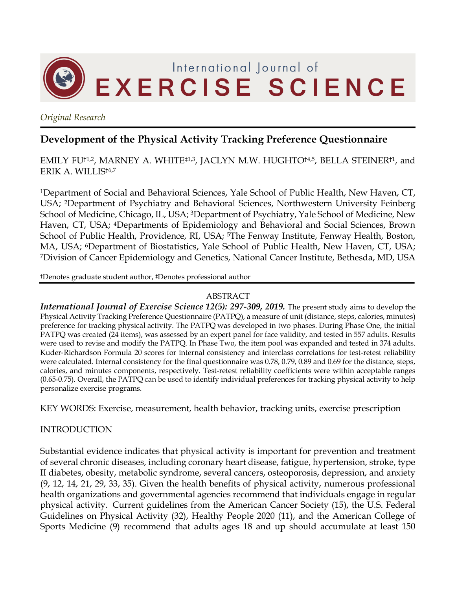

*Original Research*

### **Development of the Physical Activity Tracking Preference Questionnaire**

#### EMILY FU<sup>†1,2</sup>, MARNEY A. WHITE<sup>‡1,3</sup>, JACLYN M.W. HUGHTO<sup>†4,5</sup>, BELLA STEINER<sup>†1</sup>, and ERIK A. WILLIS†6,7

1Department of Social and Behavioral Sciences, Yale School of Public Health, New Haven, CT, USA; 2Department of Psychiatry and Behavioral Sciences, Northwestern University Feinberg School of Medicine, Chicago, IL, USA; <sup>3</sup>Department of Psychiatry, Yale School of Medicine, New Haven, CT, USA; 4Departments of Epidemiology and Behavioral and Social Sciences, Brown School of Public Health, Providence, RI, USA; <sup>5</sup>The Fenway Institute, Fenway Health, Boston, MA, USA; 6Department of Biostatistics, Yale School of Public Health, New Haven, CT, USA; 7Division of Cancer Epidemiology and Genetics, National Cancer Institute, Bethesda, MD, USA

†Denotes graduate student author, ‡Denotes professional author

#### ABSTRACT

*International Journal of Exercise Science 12(5): 297-309, 2019.* The present study aims to develop the Physical Activity Tracking Preference Questionnaire (PATPQ), a measure of unit (distance, steps, calories, minutes) preference for tracking physical activity. The PATPQ was developed in two phases. During Phase One, the initial PATPQ was created (24 items), was assessed by an expert panel for face validity, and tested in 557 adults. Results were used to revise and modify the PATPQ. In Phase Two, the item pool was expanded and tested in 374 adults. Kuder-Richardson Formula 20 scores for internal consistency and interclass correlations for test-retest reliability were calculated. Internal consistency for the final questionnaire was 0.78, 0.79, 0.89 and 0.69 for the distance, steps, calories, and minutes components, respectively. Test-retest reliability coefficients were within acceptable ranges (0.65-0.75). Overall, the PATPQ can be used to identify individual preferences for tracking physical activity to help personalize exercise programs.

KEY WORDS: Exercise, measurement, health behavior, tracking units, exercise prescription

#### INTRODUCTION

Substantial evidence indicates that physical activity is important for prevention and treatment of several chronic diseases, including coronary heart disease, fatigue, hypertension, stroke, type II diabetes, obesity, metabolic syndrome, several cancers, osteoporosis, depression, and anxiety (9, 12, 14, 21, 29, 33, 35). Given the health benefits of physical activity, numerous professional health organizations and governmental agencies recommend that individuals engage in regular physical activity. Current guidelines from the American Cancer Society (15), the U.S. Federal Guidelines on Physical Activity (32), Healthy People 2020 (11), and the American College of Sports Medicine (9) recommend that adults ages 18 and up should accumulate at least 150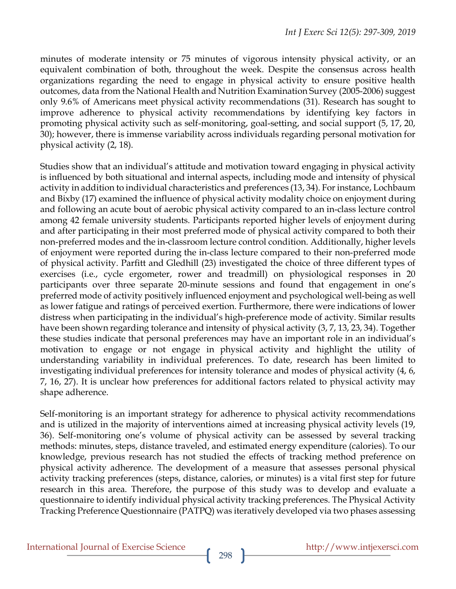minutes of moderate intensity or 75 minutes of vigorous intensity physical activity, or an equivalent combination of both, throughout the week. Despite the consensus across health organizations regarding the need to engage in physical activity to ensure positive health outcomes, data from the National Health and Nutrition Examination Survey (2005-2006) suggest only 9.6% of Americans meet physical activity recommendations (31). Research has sought to improve adherence to physical activity recommendations by identifying key factors in promoting physical activity such as self-monitoring, goal-setting, and social support (5, 17, 20, 30); however, there is immense variability across individuals regarding personal motivation for physical activity (2, 18).

Studies show that an individual's attitude and motivation toward engaging in physical activity is influenced by both situational and internal aspects, including mode and intensity of physical activity in addition to individual characteristics and preferences (13, 34). For instance, Lochbaum and Bixby (17) examined the influence of physical activity modality choice on enjoyment during and following an acute bout of aerobic physical activity compared to an in-class lecture control among 42 female university students. Participants reported higher levels of enjoyment during and after participating in their most preferred mode of physical activity compared to both their non-preferred modes and the in-classroom lecture control condition. Additionally, higher levels of enjoyment were reported during the in-class lecture compared to their non-preferred mode of physical activity. Parfitt and Gledhill (23) investigated the choice of three different types of exercises (i.e., cycle ergometer, rower and treadmill) on physiological responses in 20 participants over three separate 20-minute sessions and found that engagement in one's preferred mode of activity positively influenced enjoyment and psychological well-being as well as lower fatigue and ratings of perceived exertion. Furthermore, there were indications of lower distress when participating in the individual's high-preference mode of activity. Similar results have been shown regarding tolerance and intensity of physical activity (3, 7, 13, 23, 34). Together these studies indicate that personal preferences may have an important role in an individual's motivation to engage or not engage in physical activity and highlight the utility of understanding variability in individual preferences. To date, research has been limited to investigating individual preferences for intensity tolerance and modes of physical activity (4, 6, 7, 16, 27). It is unclear how preferences for additional factors related to physical activity may shape adherence.

Self-monitoring is an important strategy for adherence to physical activity recommendations and is utilized in the majority of interventions aimed at increasing physical activity levels (19, 36). Self-monitoring one's volume of physical activity can be assessed by several tracking methods: minutes, steps, distance traveled, and estimated energy expenditure (calories). To our knowledge, previous research has not studied the effects of tracking method preference on physical activity adherence. The development of a measure that assesses personal physical activity tracking preferences (steps, distance, calories, or minutes) is a vital first step for future research in this area. Therefore, the purpose of this study was to develop and evaluate a questionnaire to identify individual physical activity tracking preferences. The Physical Activity Tracking Preference Questionnaire (PATPQ) was iteratively developed via two phases assessing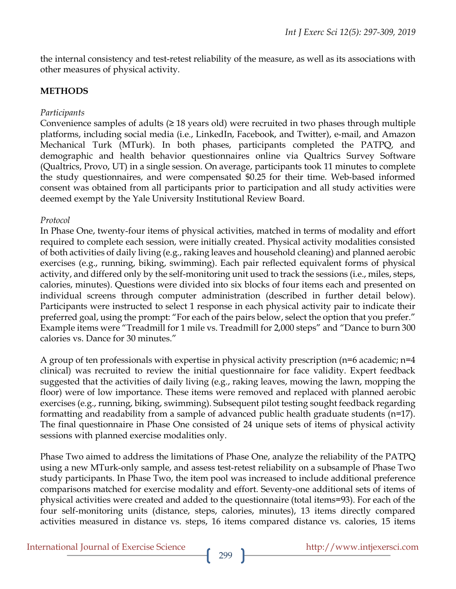the internal consistency and test-retest reliability of the measure, as well as its associations with other measures of physical activity.

#### **METHODS**

#### *Participants*

Convenience samples of adults  $(≥ 18$  years old) were recruited in two phases through multiple platforms, including social media (i.e., LinkedIn, Facebook, and Twitter), e-mail, and Amazon Mechanical Turk (MTurk). In both phases, participants completed the PATPQ, and demographic and health behavior questionnaires online via Qualtrics Survey Software (Qualtrics, Provo, UT) in a single session. On average, participants took 11 minutes to complete the study questionnaires, and were compensated \$0.25 for their time. Web-based informed consent was obtained from all participants prior to participation and all study activities were deemed exempt by the Yale University Institutional Review Board.

#### *Protocol*

In Phase One, twenty-four items of physical activities, matched in terms of modality and effort required to complete each session, were initially created. Physical activity modalities consisted of both activities of daily living (e.g., raking leaves and household cleaning) and planned aerobic exercises (e.g., running, biking, swimming). Each pair reflected equivalent forms of physical activity, and differed only by the self-monitoring unit used to track the sessions (i.e., miles, steps, calories, minutes). Questions were divided into six blocks of four items each and presented on individual screens through computer administration (described in further detail below). Participants were instructed to select 1 response in each physical activity pair to indicate their preferred goal, using the prompt: "For each of the pairs below, select the option that you prefer." Example items were "Treadmill for 1 mile vs. Treadmill for 2,000 steps" and "Dance to burn 300 calories vs. Dance for 30 minutes."

A group of ten professionals with expertise in physical activity prescription (n=6 academic; n=4 clinical) was recruited to review the initial questionnaire for face validity. Expert feedback suggested that the activities of daily living (e.g., raking leaves, mowing the lawn, mopping the floor) were of low importance. These items were removed and replaced with planned aerobic exercises (e.g., running, biking, swimming). Subsequent pilot testing sought feedback regarding formatting and readability from a sample of advanced public health graduate students (n=17). The final questionnaire in Phase One consisted of 24 unique sets of items of physical activity sessions with planned exercise modalities only.

Phase Two aimed to address the limitations of Phase One, analyze the reliability of the PATPQ using a new MTurk-only sample, and assess test-retest reliability on a subsample of Phase Two study participants. In Phase Two, the item pool was increased to include additional preference comparisons matched for exercise modality and effort. Seventy-one additional sets of items of physical activities were created and added to the questionnaire (total items=93). For each of the four self-monitoring units (distance, steps, calories, minutes), 13 items directly compared activities measured in distance vs. steps, 16 items compared distance vs. calories, 15 items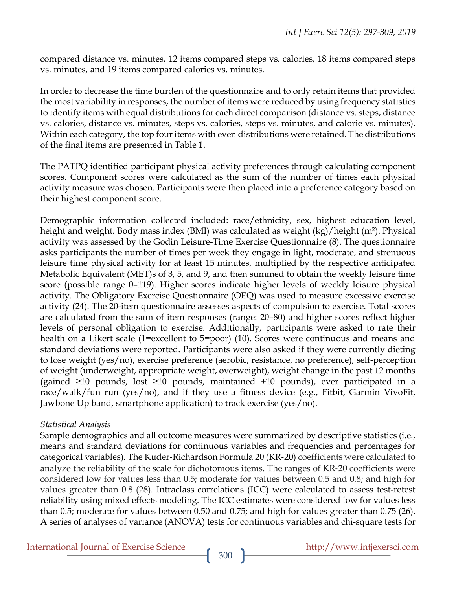compared distance vs. minutes, 12 items compared steps vs. calories, 18 items compared steps vs. minutes, and 19 items compared calories vs. minutes.

In order to decrease the time burden of the questionnaire and to only retain items that provided the most variability in responses, the number of items were reduced by using frequency statistics to identify items with equal distributions for each direct comparison (distance vs. steps, distance vs. calories, distance vs. minutes, steps vs. calories, steps vs. minutes, and calorie vs. minutes). Within each category, the top four items with even distributions were retained. The distributions of the final items are presented in Table 1.

The PATPQ identified participant physical activity preferences through calculating component scores. Component scores were calculated as the sum of the number of times each physical activity measure was chosen. Participants were then placed into a preference category based on their highest component score.

Demographic information collected included: race/ethnicity, sex, highest education level, height and weight. Body mass index (BMI) was calculated as weight (kg)/height (m<sup>2</sup>). Physical activity was assessed by the Godin Leisure-Time Exercise Questionnaire (8). The questionnaire asks participants the number of times per week they engage in light, moderate, and strenuous leisure time physical activity for at least 15 minutes, multiplied by the respective anticipated Metabolic Equivalent (MET)s of 3, 5, and 9, and then summed to obtain the weekly leisure time score (possible range 0–119). Higher scores indicate higher levels of weekly leisure physical activity. The Obligatory Exercise Questionnaire (OEQ) was used to measure excessive exercise activity (24). The 20-item questionnaire assesses aspects of compulsion to exercise. Total scores are calculated from the sum of item responses (range: 20–80) and higher scores reflect higher levels of personal obligation to exercise. Additionally, participants were asked to rate their health on a Likert scale (1=excellent to 5=poor) (10). Scores were continuous and means and standard deviations were reported. Participants were also asked if they were currently dieting to lose weight (yes/no), exercise preference (aerobic, resistance, no preference), self-perception of weight (underweight, appropriate weight, overweight), weight change in the past 12 months (gained ≥10 pounds, lost ≥10 pounds, maintained ±10 pounds), ever participated in a race/walk/fun run (yes/no), and if they use a fitness device (e.g., Fitbit, Garmin VivoFit, Jawbone Up band, smartphone application) to track exercise (yes/no).

#### *Statistical Analysis*

Sample demographics and all outcome measures were summarized by descriptive statistics (i.e., means and standard deviations for continuous variables and frequencies and percentages for categorical variables). The Kuder-Richardson Formula 20 (KR-20) coefficients were calculated to analyze the reliability of the scale for dichotomous items. The ranges of KR-20 coefficients were considered low for values less than 0.5; moderate for values between 0.5 and 0.8; and high for values greater than 0.8 (28). Intraclass correlations (ICC) were calculated to assess test-retest reliability using mixed effects modeling. The ICC estimates were considered low for values less than 0.5; moderate for values between 0.50 and 0.75; and high for values greater than 0.75 (26). A series of analyses of variance (ANOVA) tests for continuous variables and chi-square tests for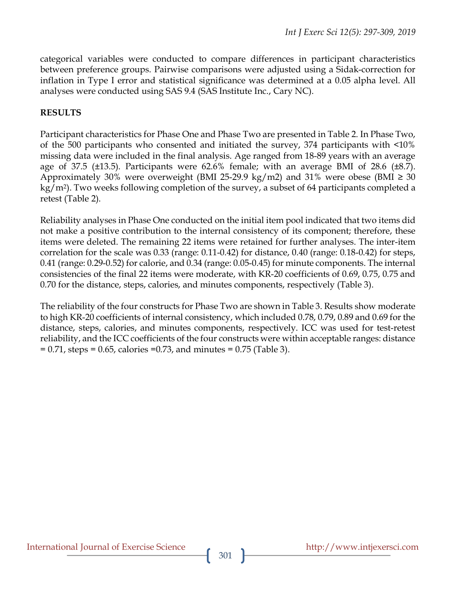categorical variables were conducted to compare differences in participant characteristics between preference groups. Pairwise comparisons were adjusted using a Sidak-correction for inflation in Type I error and statistical significance was determined at a 0.05 alpha level. All analyses were conducted using SAS 9.4 (SAS Institute Inc., Cary NC).

#### **RESULTS**

Participant characteristics for Phase One and Phase Two are presented in Table 2. In Phase Two, of the 500 participants who consented and initiated the survey, 374 participants with <10% missing data were included in the final analysis. Age ranged from 18-89 years with an average age of 37.5 ( $\pm$ 13.5). Participants were 62.6% female; with an average BMI of 28.6 ( $\pm$ 8.7). Approximately 30% were overweight (BMI 25-29.9 kg/m2) and 31% were obese (BMI  $\geq$  30 kg/m2). Two weeks following completion of the survey, a subset of 64 participants completed a retest (Table 2).

Reliability analyses in Phase One conducted on the initial item pool indicated that two items did not make a positive contribution to the internal consistency of its component; therefore, these items were deleted. The remaining 22 items were retained for further analyses. The inter-item correlation for the scale was 0.33 (range: 0.11-0.42) for distance, 0.40 (range: 0.18-0.42) for steps, 0.41 (range: 0.29-0.52) for calorie, and 0.34 (range: 0.05-0.45) for minute components. The internal consistencies of the final 22 items were moderate, with KR-20 coefficients of 0.69, 0.75, 0.75 and 0.70 for the distance, steps, calories, and minutes components, respectively (Table 3).

The reliability of the four constructs for Phase Two are shown in Table 3. Results show moderate to high KR-20 coefficients of internal consistency, which included 0.78, 0.79, 0.89 and 0.69 for the distance, steps, calories, and minutes components, respectively. ICC was used for test-retest reliability, and the ICC coefficients of the four constructs were within acceptable ranges: distance = 0.71, steps = 0.65, calories =0.73, and minutes = 0.75 (Table 3).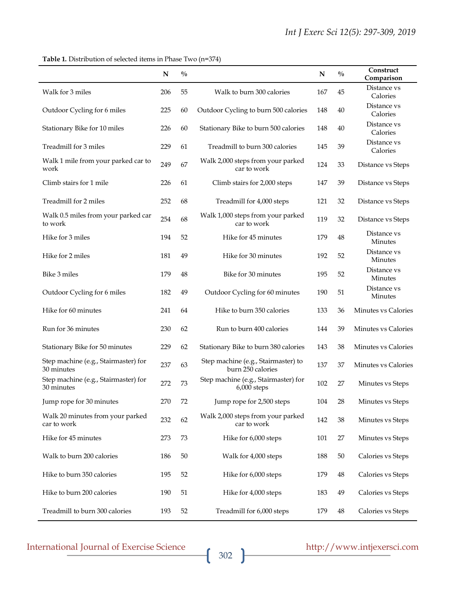**Table 1.** Distribution of selected items in Phase Two (n=374)

|                                                    | N   | $\frac{0}{0}$ |                                                          | N   | $\frac{0}{0}$ | Construct<br>Comparison       |
|----------------------------------------------------|-----|---------------|----------------------------------------------------------|-----|---------------|-------------------------------|
| Walk for 3 miles                                   | 206 | 55            | Walk to burn 300 calories                                | 167 | 45            | Distance vs<br>Calories       |
| Outdoor Cycling for 6 miles                        | 225 | 60            | Outdoor Cycling to burn 500 calories                     | 148 | 40            | Distance vs<br>Calories       |
| Stationary Bike for 10 miles                       | 226 | 60            | Stationary Bike to burn 500 calories                     | 148 | 40            | Distance vs<br>Calories       |
| Treadmill for 3 miles                              | 229 | 61            | Treadmill to burn 300 calories                           | 145 | 39            | Distance vs<br>Calories       |
| Walk 1 mile from your parked car to<br>work        | 249 | 67            | Walk 2,000 steps from your parked<br>car to work         | 124 | 33            | Distance vs Steps             |
| Climb stairs for 1 mile                            | 226 | 61            | Climb stairs for 2,000 steps                             | 147 | 39            | Distance vs Steps             |
| Treadmill for 2 miles                              | 252 | 68            | Treadmill for 4,000 steps                                | 121 | 32            | Distance vs Steps             |
| Walk 0.5 miles from your parked car<br>to work     | 254 | 68            | Walk 1,000 steps from your parked<br>car to work         | 119 | 32            | Distance vs Steps             |
| Hike for 3 miles                                   | 194 | 52            | Hike for 45 minutes                                      | 179 | 48            | Distance vs<br>Minutes        |
| Hike for 2 miles                                   | 181 | 49            | Hike for 30 minutes                                      | 192 | 52            | Distance vs<br><b>Minutes</b> |
| Bike 3 miles                                       | 179 | 48            | Bike for 30 minutes                                      | 195 | 52            | Distance vs<br>Minutes        |
| Outdoor Cycling for 6 miles                        | 182 | 49            | Outdoor Cycling for 60 minutes                           | 190 | 51            | Distance vs<br>Minutes        |
| Hike for 60 minutes                                | 241 | 64            | Hike to burn 350 calories                                | 133 | 36            | Minutes vs Calories           |
| Run for 36 minutes                                 | 230 | 62            | Run to burn 400 calories                                 | 144 | 39            | Minutes vs Calories           |
| Stationary Bike for 50 minutes                     | 229 | 62            | Stationary Bike to burn 380 calories                     | 143 | 38            | Minutes vs Calories           |
| Step machine (e.g., Stairmaster) for<br>30 minutes | 237 | 63            | Step machine (e.g., Stairmaster) to<br>burn 250 calories | 137 | 37            | Minutes vs Calories           |
| Step machine (e.g., Stairmaster) for<br>30 minutes | 272 | 73            | Step machine (e.g., Stairmaster) for<br>$6,000$ steps    | 102 | 27            | Minutes vs Steps              |
| Jump rope for 30 minutes                           | 270 | 72            | Jump rope for 2,500 steps                                | 104 | 28            | Minutes vs Steps              |
| Walk 20 minutes from your parked<br>car to work    | 232 | 62            | Walk 2,000 steps from your parked<br>car to work         | 142 | 38            | Minutes vs Steps              |
| Hike for 45 minutes                                | 273 | 73            | Hike for 6,000 steps                                     | 101 | 27            | Minutes vs Steps              |
| Walk to burn 200 calories                          | 186 | 50            | Walk for 4,000 steps                                     | 188 | $50\,$        | Calories vs Steps             |
| Hike to burn 350 calories                          | 195 | 52            | Hike for 6,000 steps                                     | 179 | $\rm 48$      | Calories vs Steps             |
| Hike to burn 200 calories                          | 190 | 51            | Hike for 4,000 steps                                     | 183 | 49            | Calories vs Steps             |
| Treadmill to burn 300 calories                     | 193 | 52            | Treadmill for 6,000 steps                                | 179 | 48            | Calories vs Steps             |

# International Journal of Exercise Science http://www.intjexersci.com http://www.intjexersci.com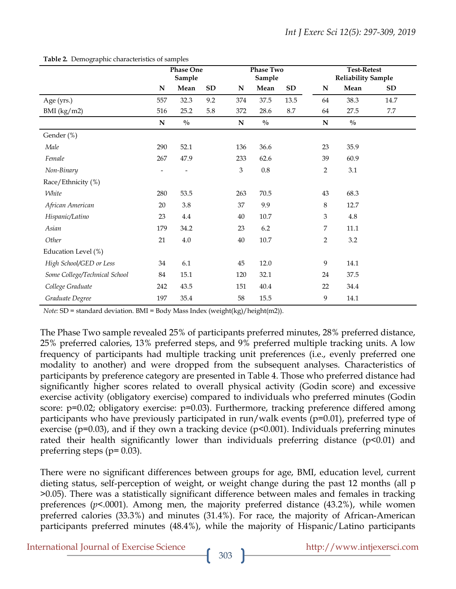|                               | <b>Phase One</b><br>Sample |               |           | <b>Phase Two</b><br>Sample |               |            | <b>Test-Retest</b><br><b>Reliability Sample</b> |               |      |  |
|-------------------------------|----------------------------|---------------|-----------|----------------------------|---------------|------------|-------------------------------------------------|---------------|------|--|
|                               | N                          | Mean          | <b>SD</b> | N                          | Mean          | ${\bf SD}$ | N                                               | Mean          | SD   |  |
| Age (yrs.)                    | 557                        | 32.3          | 9.2       | 374                        | 37.5          | 13.5       | 64                                              | 38.3          | 14.7 |  |
| BMI (kg/m2)                   | 516                        | 25.2          | 5.8       | 372                        | 28.6          | 8.7        | 64                                              | 27.5          | 7.7  |  |
|                               | ${\bf N}$                  | $\frac{0}{0}$ |           | ${\bf N}$                  | $\frac{0}{0}$ |            | ${\bf N}$                                       | $\frac{0}{0}$ |      |  |
| Gender (%)                    |                            |               |           |                            |               |            |                                                 |               |      |  |
| Male                          | 290                        | 52.1          |           | 136                        | 36.6          |            | 23                                              | 35.9          |      |  |
| Female                        | 267                        | 47.9          |           | 233                        | 62.6          |            | 39                                              | 60.9          |      |  |
| Non-Binary                    |                            |               |           | $\mathfrak{Z}$             | $\rm 0.8$     |            | $\sqrt{2}$                                      | 3.1           |      |  |
| Race/Ethnicity (%)            |                            |               |           |                            |               |            |                                                 |               |      |  |
| White                         | 280                        | 53.5          |           | 263                        | 70.5          |            | 43                                              | 68.3          |      |  |
| African American              | 20                         | $3.8\,$       |           | 37                         | 9.9           |            | $\,8\,$                                         | 12.7          |      |  |
| Hispanic/Latino               | 23                         | 4.4           |           | $40\,$                     | 10.7          |            | $\ensuremath{\mathfrak{Z}}$                     | $4.8\,$       |      |  |
| Asian                         | 179                        | 34.2          |           | 23                         | $6.2\,$       |            | 7                                               | 11.1          |      |  |
| Other                         | 21                         | 4.0           |           | $40\,$                     | $10.7\,$      |            | $\overline{2}$                                  | 3.2           |      |  |
| Education Level (%)           |                            |               |           |                            |               |            |                                                 |               |      |  |
| High School/GED or Less       | 34                         | 6.1           |           | 45                         | 12.0          |            | 9                                               | 14.1          |      |  |
| Some College/Technical School | 84                         | 15.1          |           | 120                        | 32.1          |            | 24                                              | 37.5          |      |  |
| College Graduate              | 242                        | 43.5          |           | 151                        | 40.4          |            | 22                                              | 34.4          |      |  |
| Graduate Degree               | 197                        | 35.4          |           | 58                         | 15.5          |            | 9                                               | 14.1          |      |  |

**Table 2.** Demographic characteristics of samples

*Note:* SD = standard deviation. BMI = Body Mass Index (weight(kg)/height(m2)).

The Phase Two sample revealed 25% of participants preferred minutes, 28% preferred distance, 25% preferred calories, 13% preferred steps, and 9% preferred multiple tracking units. A low frequency of participants had multiple tracking unit preferences (i.e., evenly preferred one modality to another) and were dropped from the subsequent analyses. Characteristics of participants by preference category are presented in Table 4. Those who preferred distance had significantly higher scores related to overall physical activity (Godin score) and excessive exercise activity (obligatory exercise) compared to individuals who preferred minutes (Godin score: p=0.02; obligatory exercise: p=0.03). Furthermore, tracking preference differed among participants who have previously participated in run/walk events (p=0.01), preferred type of exercise (p=0.03), and if they own a tracking device (p<0.001). Individuals preferring minutes rated their health significantly lower than individuals preferring distance (p<0.01) and preferring steps ( $p=0.03$ ).

There were no significant differences between groups for age, BMI, education level, current dieting status, self-perception of weight, or weight change during the past 12 months (all p >0.05). There was a statistically significant difference between males and females in tracking preferences (*p*<.0001). Among men, the majority preferred distance (43.2%), while women preferred calories (33.3%) and minutes (31.4%). For race, the majority of African-American participants preferred minutes (48.4%), while the majority of Hispanic/Latino participants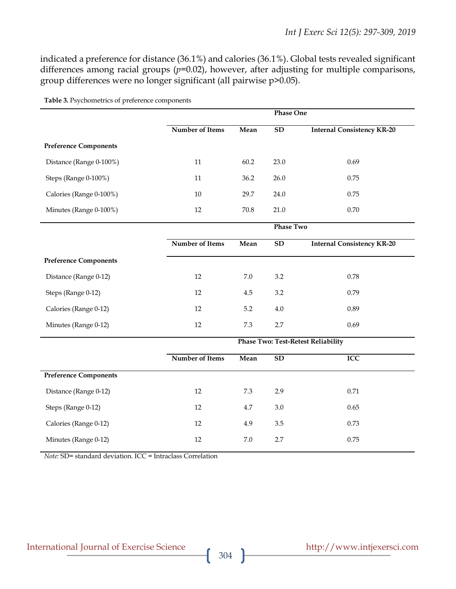indicated a preference for distance (36.1%) and calories (36.1%). Global tests revealed significant differences among racial groups ( $p=0.02$ ), however, after adjusting for multiple comparisons, group differences were no longer significant (all pairwise p>0.05).

|                              |                                           | <b>Phase One</b> |                  |                                   |  |  |  |  |  |
|------------------------------|-------------------------------------------|------------------|------------------|-----------------------------------|--|--|--|--|--|
|                              | Number of Items                           | Mean             | SD               | <b>Internal Consistency KR-20</b> |  |  |  |  |  |
| <b>Preference Components</b> |                                           |                  |                  |                                   |  |  |  |  |  |
| Distance (Range 0-100%)      | 11                                        | 60.2             | 23.0             | 0.69                              |  |  |  |  |  |
| Steps (Range 0-100%)         | 11                                        | 36.2             | 26.0             | 0.75                              |  |  |  |  |  |
| Calories (Range 0-100%)      | $10\,$                                    | 29.7             | 24.0             | 0.75                              |  |  |  |  |  |
| Minutes (Range 0-100%)       | 12                                        | 70.8             | 21.0             | $0.70\,$                          |  |  |  |  |  |
|                              |                                           |                  | <b>Phase Two</b> |                                   |  |  |  |  |  |
|                              | Number of Items                           | Mean             | <b>SD</b>        | <b>Internal Consistency KR-20</b> |  |  |  |  |  |
| <b>Preference Components</b> |                                           |                  |                  |                                   |  |  |  |  |  |
| Distance (Range 0-12)        | 12                                        | 7.0              | 3.2              | 0.78                              |  |  |  |  |  |
| Steps (Range 0-12)           | 12                                        | 4.5              | 3.2              | 0.79                              |  |  |  |  |  |
| Calories (Range 0-12)        | 12                                        | 5.2              | 4.0              | 0.89                              |  |  |  |  |  |
| Minutes (Range 0-12)         | 12                                        | 7.3              | 2.7              | 0.69                              |  |  |  |  |  |
|                              | <b>Phase Two: Test-Retest Reliability</b> |                  |                  |                                   |  |  |  |  |  |
|                              | Number of Items                           | Mean             | $\overline{SD}$  | ICC                               |  |  |  |  |  |
| <b>Preference Components</b> |                                           |                  |                  |                                   |  |  |  |  |  |
| Distance (Range 0-12)        | 12                                        | 7.3              | 2.9              | 0.71                              |  |  |  |  |  |
| Steps (Range 0-12)           | 12                                        | 4.7              | 3.0              | 0.65                              |  |  |  |  |  |
| Calories (Range 0-12)        | 12                                        | 4.9              | 3.5              | 0.73                              |  |  |  |  |  |
| Minutes (Range 0-12)         | 12                                        | 7.0              | 2.7              | 0.75                              |  |  |  |  |  |

**Table 3.** Psychometrics of preference components

*Note:* SD= standard deviation. ICC = Intraclass Correlation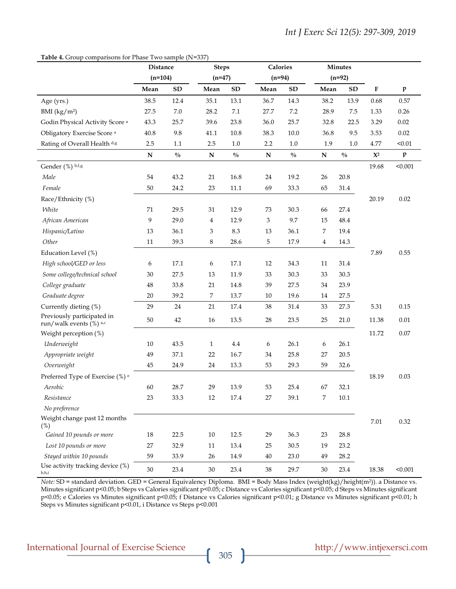#### **Table 4.** Group comparisons for Phase Two sample (N=337)

|                                                       | Distance<br>$(n=104)$ |               | <b>Steps</b><br>$(n=47)$ |               | Calories<br>$(n=94)$ |               |                | Minutes                     |           |              |
|-------------------------------------------------------|-----------------------|---------------|--------------------------|---------------|----------------------|---------------|----------------|-----------------------------|-----------|--------------|
|                                                       |                       |               |                          |               |                      |               | $(n=92)$       |                             |           |              |
|                                                       | Mean                  | ${\bf SD}$    | Mean                     | ${\bf SD}$    | Mean                 | ${\bf SD}$    | Mean           | <b>SD</b>                   | ${\bf F}$ | $\mathbf{p}$ |
| Age (yrs.)                                            | 38.5                  | 12.4          | 35.1                     | 13.1          | 36.7                 | 14.3          | 38.2           | 13.9                        | 0.68      | 0.57         |
| BMI $(kg/m2)$                                         | 27.5                  | $7.0\,$       | 28.2                     | $7.1\,$       | 27.7                 | $7.2\,$       | 28.9           | 7.5                         | 1.33      | 0.26         |
| Godin Physical Activity Score <sup>a</sup>            | 43.3                  | 25.7          | 39.6                     | 23.8          | 36.0                 | 25.7          | 32.8           | 22.5                        | 3.29      | 0.02         |
| Obligatory Exercise Score <sup>a</sup>                | 40.8                  | 9.8           | 41.1                     | 10.8          | 38.3                 | 10.0          | 36.8           | 9.5                         | 3.53      | 0.02         |
| Rating of Overall Health d,g                          | 2.5                   | 1.1           | 2.5                      | 1.0           | 2.2                  | 1.0           | 1.9            | $1.0\,$                     | 4.77      | < 0.01       |
|                                                       | ${\bf N}$             | $\frac{0}{0}$ | ${\bf N}$                | $\frac{0}{0}$ | ${\bf N}$            | $\frac{0}{0}$ | ${\bf N}$      | $\sqrt[0]{\hskip -1.0pt 0}$ | $X^2$     | $\mathbf{p}$ |
| Gender (%) b,f,g                                      |                       |               |                          |               |                      |               |                |                             | 19.68     | < 0.001      |
| Male                                                  | 54                    | 43.2          | 21                       | 16.8          | 24                   | 19.2          | 26             | 20.8                        |           |              |
| Female                                                | 50                    | 24.2          | 23                       | 11.1          | 69                   | 33.3          | 65             | 31.4                        |           |              |
| Race/Ethnicity (%)                                    |                       |               |                          |               |                      |               |                |                             | 20.19     | 0.02         |
| White                                                 | 71                    | 29.5          | 31                       | 12.9          | 73                   | 30.3          | 66             | 27.4                        |           |              |
| African American                                      | 9                     | 29.0          | $\overline{4}$           | 12.9          | 3                    | 9.7           | 15             | 48.4                        |           |              |
| Hispanic/Latino                                       | 13                    | 36.1          | 3                        | 8.3           | 13                   | 36.1          | 7              | 19.4                        |           |              |
| Other                                                 | 11                    | 39.3          | 8                        | 28.6          | 5                    | 17.9          | $\overline{4}$ | 14.3                        |           |              |
| Education Level (%)                                   |                       |               |                          |               |                      |               |                |                             | 7.89      | 0.55         |
| High school/GED or less                               | 6                     | 17.1          | 6                        | 17.1          | 12                   | 34.3          | 11             | 31.4                        |           |              |
| Some college/technical school                         | 30                    | 27.5          | 13                       | 11.9          | 33                   | 30.3          | 33             | 30.3                        |           |              |
| College graduate                                      | $\rm 48$              | 33.8          | 21                       | 14.8          | 39                   | 27.5          | 34             | 23.9                        |           |              |
| Graduate degree                                       | 20                    | 39.2          | 7                        | 13.7          | 10                   | 19.6          | 14             | 27.5                        |           |              |
| Currently dieting (%)                                 | 29                    | 24            | 21                       | 17.4          | 38                   | 31.4          | 33             | 27.3                        | 5.31      | 0.15         |
| Previously participated in<br>run/walk events (%) a,c | 50                    | 42            | 16                       | 13.5          | 28                   | 23.5          | 25             | 21.0                        | 11.38     | 0.01         |
| Weight perception (%)                                 |                       |               |                          |               |                      |               |                |                             | 11.72     | 0.07         |
| Underweight                                           | 10                    | 43.5          | $\mathbf{1}$             | $4.4\,$       | 6                    | 26.1          | 6              | 26.1                        |           |              |
| Appropriate weight                                    | 49                    | 37.1          | 22                       | 16.7          | 34                   | 25.8          | 27             | 20.5                        |           |              |
| Overweight                                            | 45                    | 24.9          | 24                       | 13.3          | 53                   | 29.3          | 59             | 32.6                        |           |              |
| Preferred Type of Exercise (%) <sup>e</sup>           |                       |               |                          |               |                      |               |                |                             | 18.19     | 0.03         |
| Aerobic                                               | 60                    | 28.7          | 29                       | 13.9          | 53                   | 25.4          | 67             | 32.1                        |           |              |
| Resistance                                            | 23                    | 33.3          | $12\,$                   | 17.4          | 27                   | 39.1          | 7              | 10.1                        |           |              |
| No preference                                         |                       |               |                          |               |                      |               |                |                             |           |              |
| Weight change past 12 months<br>$(\%)$                |                       |               |                          |               |                      |               |                |                             | $7.01\,$  | 0.32         |
| Gained 10 pounds or more                              | 18                    | 22.5          | $10\,$                   | 12.5          | 29                   | 36.3          | 23             | 28.8                        |           |              |
| Lost 10 pounds or more                                | 27                    | 32.9          | 11                       | 13.4          | 25                   | 30.5          | 19             | 23.2                        |           |              |
| Stayed within 10 pounds                               | 59                    | 33.9          | 26                       | 14.9          | 40                   | 23.0          | 49             | 28.2                        |           |              |
| Use activity tracking device (%)<br>b,h,i             | 30                    | 23.4          | 30                       | 23.4          | 38                   | 29.7          | 30             | 23.4                        | 18.38     | < 0.001      |

*Note:* SD = standard deviation. GED = General Equivalency Diploma. BMI = Body Mass Index (weight(kg)/height(m2)). a Distance vs. Minutes significant p<0.05; b Steps vs Calories significant p<0.05; c Distance vs Calories significant p<0.05; d Steps vs Minutes significant p<0.05; e Calories vs Minutes significant p<0.05; f Distance vs Calories significant p<0.01; g Distance vs Minutes significant p<0.01; h Steps vs Minutes significant p<0.01, i Distance vs Steps p<0.001

## International Journal of Exercise Science http://www.intjexersci.com http://www.intjexersci.com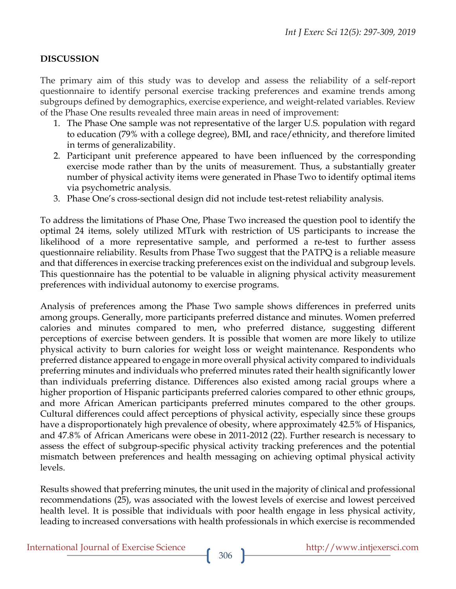#### **DISCUSSION**

The primary aim of this study was to develop and assess the reliability of a self-report questionnaire to identify personal exercise tracking preferences and examine trends among subgroups defined by demographics, exercise experience, and weight-related variables. Review of the Phase One results revealed three main areas in need of improvement:

- 1. The Phase One sample was not representative of the larger U.S. population with regard to education (79% with a college degree), BMI, and race/ethnicity, and therefore limited in terms of generalizability.
- 2. Participant unit preference appeared to have been influenced by the corresponding exercise mode rather than by the units of measurement. Thus, a substantially greater number of physical activity items were generated in Phase Two to identify optimal items via psychometric analysis.
- 3. Phase One's cross-sectional design did not include test-retest reliability analysis.

To address the limitations of Phase One, Phase Two increased the question pool to identify the optimal 24 items, solely utilized MTurk with restriction of US participants to increase the likelihood of a more representative sample, and performed a re-test to further assess questionnaire reliability. Results from Phase Two suggest that the PATPQ is a reliable measure and that differences in exercise tracking preferences exist on the individual and subgroup levels. This questionnaire has the potential to be valuable in aligning physical activity measurement preferences with individual autonomy to exercise programs.

Analysis of preferences among the Phase Two sample shows differences in preferred units among groups. Generally, more participants preferred distance and minutes. Women preferred calories and minutes compared to men, who preferred distance, suggesting different perceptions of exercise between genders. It is possible that women are more likely to utilize physical activity to burn calories for weight loss or weight maintenance. Respondents who preferred distance appeared to engage in more overall physical activity compared to individuals preferring minutes and individuals who preferred minutes rated their health significantly lower than individuals preferring distance. Differences also existed among racial groups where a higher proportion of Hispanic participants preferred calories compared to other ethnic groups, and more African American participants preferred minutes compared to the other groups. Cultural differences could affect perceptions of physical activity, especially since these groups have a disproportionately high prevalence of obesity, where approximately 42.5% of Hispanics, and 47.8% of African Americans were obese in 2011-2012 (22). Further research is necessary to assess the effect of subgroup-specific physical activity tracking preferences and the potential mismatch between preferences and health messaging on achieving optimal physical activity levels.

Results showed that preferring minutes, the unit used in the majority of clinical and professional recommendations (25), was associated with the lowest levels of exercise and lowest perceived health level. It is possible that individuals with poor health engage in less physical activity, leading to increased conversations with health professionals in which exercise is recommended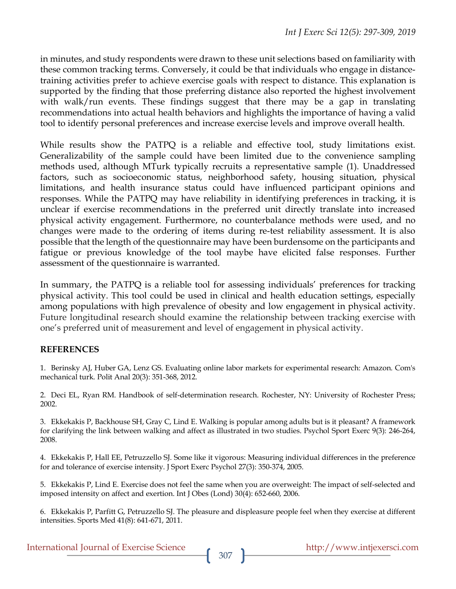in minutes, and study respondents were drawn to these unit selections based on familiarity with these common tracking terms. Conversely, it could be that individuals who engage in distancetraining activities prefer to achieve exercise goals with respect to distance. This explanation is supported by the finding that those preferring distance also reported the highest involvement with walk/run events. These findings suggest that there may be a gap in translating recommendations into actual health behaviors and highlights the importance of having a valid tool to identify personal preferences and increase exercise levels and improve overall health.

While results show the PATPQ is a reliable and effective tool, study limitations exist. Generalizability of the sample could have been limited due to the convenience sampling methods used, although MTurk typically recruits a representative sample (1). Unaddressed factors, such as socioeconomic status, neighborhood safety, housing situation, physical limitations, and health insurance status could have influenced participant opinions and responses. While the PATPQ may have reliability in identifying preferences in tracking, it is unclear if exercise recommendations in the preferred unit directly translate into increased physical activity engagement. Furthermore, no counterbalance methods were used, and no changes were made to the ordering of items during re-test reliability assessment. It is also possible that the length of the questionnaire may have been burdensome on the participants and fatigue or previous knowledge of the tool maybe have elicited false responses. Further assessment of the questionnaire is warranted.

In summary, the PATPQ is a reliable tool for assessing individuals' preferences for tracking physical activity. This tool could be used in clinical and health education settings, especially among populations with high prevalence of obesity and low engagement in physical activity. Future longitudinal research should examine the relationship between tracking exercise with one's preferred unit of measurement and level of engagement in physical activity.

#### **REFERENCES**

1. Berinsky AJ, Huber GA, Lenz GS. Evaluating online labor markets for experimental research: Amazon. Com's mechanical turk. Polit Anal 20(3): 351-368, 2012.

2. Deci EL, Ryan RM. Handbook of self-determination research. Rochester, NY: University of Rochester Press; 2002.

3. Ekkekakis P, Backhouse SH, Gray C, Lind E. Walking is popular among adults but is it pleasant? A framework for clarifying the link between walking and affect as illustrated in two studies. Psychol Sport Exerc 9(3): 246-264, 2008.

4. Ekkekakis P, Hall EE, Petruzzello SJ. Some like it vigorous: Measuring individual differences in the preference for and tolerance of exercise intensity. J Sport Exerc Psychol 27(3): 350-374, 2005.

5. Ekkekakis P, Lind E. Exercise does not feel the same when you are overweight: The impact of self-selected and imposed intensity on affect and exertion. Int J Obes (Lond) 30(4): 652-660, 2006.

6. Ekkekakis P, Parfitt G, Petruzzello SJ. The pleasure and displeasure people feel when they exercise at different intensities. Sports Med 41(8): 641-671, 2011.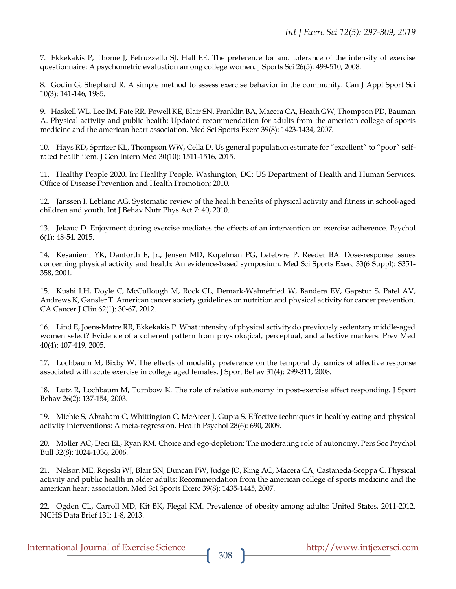7. Ekkekakis P, Thome J, Petruzzello SJ, Hall EE. The preference for and tolerance of the intensity of exercise questionnaire: A psychometric evaluation among college women. J Sports Sci 26(5): 499-510, 2008.

8. Godin G, Shephard R. A simple method to assess exercise behavior in the community. Can J Appl Sport Sci 10(3): 141-146, 1985.

9. Haskell WL, Lee IM, Pate RR, Powell KE, Blair SN, Franklin BA, Macera CA, Heath GW, Thompson PD, Bauman A. Physical activity and public health: Updated recommendation for adults from the american college of sports medicine and the american heart association. Med Sci Sports Exerc 39(8): 1423-1434, 2007.

10. Hays RD, Spritzer KL, Thompson WW, Cella D. Us general population estimate for "excellent" to "poor" selfrated health item. J Gen Intern Med 30(10): 1511-1516, 2015.

11. Healthy People 2020. In: Healthy People. Washington, DC: US Department of Health and Human Services, Office of Disease Prevention and Health Promotion; 2010.

12. Janssen I, Leblanc AG. Systematic review of the health benefits of physical activity and fitness in school-aged children and youth. Int J Behav Nutr Phys Act 7: 40, 2010.

13. Jekauc D. Enjoyment during exercise mediates the effects of an intervention on exercise adherence. Psychol 6(1): 48-54, 2015.

14. Kesaniemi YK, Danforth E, Jr., Jensen MD, Kopelman PG, Lefebvre P, Reeder BA. Dose-response issues concerning physical activity and health: An evidence-based symposium. Med Sci Sports Exerc 33(6 Suppl): S351- 358, 2001.

15. Kushi LH, Doyle C, McCullough M, Rock CL, Demark-Wahnefried W, Bandera EV, Gapstur S, Patel AV, Andrews K, Gansler T. American cancer society guidelines on nutrition and physical activity for cancer prevention. CA Cancer J Clin 62(1): 30-67, 2012.

16. Lind E, Joens-Matre RR, Ekkekakis P. What intensity of physical activity do previously sedentary middle-aged women select? Evidence of a coherent pattern from physiological, perceptual, and affective markers. Prev Med 40(4): 407-419, 2005.

17. Lochbaum M, Bixby W. The effects of modality preference on the temporal dynamics of affective response associated with acute exercise in college aged females. J Sport Behav 31(4): 299-311, 2008.

18. Lutz R, Lochbaum M, Turnbow K. The role of relative autonomy in post-exercise affect responding. J Sport Behav 26(2): 137-154, 2003.

19. Michie S, Abraham C, Whittington C, McAteer J, Gupta S. Effective techniques in healthy eating and physical activity interventions: A meta-regression. Health Psychol 28(6): 690, 2009.

20. Moller AC, Deci EL, Ryan RM. Choice and ego-depletion: The moderating role of autonomy. Pers Soc Psychol Bull 32(8): 1024-1036, 2006.

21. Nelson ME, Rejeski WJ, Blair SN, Duncan PW, Judge JO, King AC, Macera CA, Castaneda-Sceppa C. Physical activity and public health in older adults: Recommendation from the american college of sports medicine and the american heart association. Med Sci Sports Exerc 39(8): 1435-1445, 2007.

22. Ogden CL, Carroll MD, Kit BK, Flegal KM. Prevalence of obesity among adults: United States, 2011-2012. NCHS Data Brief 131: 1-8, 2013.